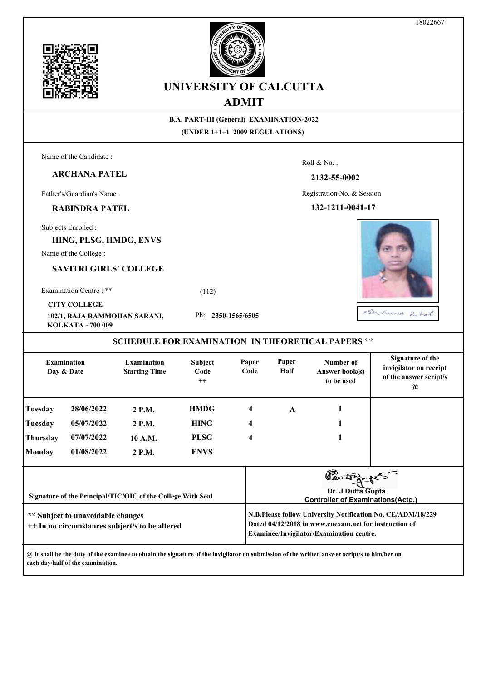



**B.A. PART-III (General) EXAMINATION-2022 (UNDER 1+1+1 2009 REGULATIONS)** Name of the Candidate : Roll & No. :

**2132-55-0002**

Registration No. & Session

**132-1211-0041-17**

Subjects Enrolled :

Father's/Guardian's Name :

**ARCHANA PATEL**

**RABINDRA PATEL**

**HING, PLSG, HMDG, ENVS**

Name of the College :

**SAVITRI GIRLS' COLLEGE**

**102/1, RAJA RAMMOHAN SARANI,** 

Examination Centre : \*\* (112)

**CITY COLLEGE**

Ph: **2350-1565/6505**

**KOLKATA - 700 009**

**SCHEDULE FOR EXAMINATION IN THEORETICAL PAPERS \*\***

| <b>Examination</b><br>Day & Date                                                    |            | <b>Examination</b><br><b>Starting Time</b> | <b>Subject</b><br>Code<br>$++$ | Paper<br>Code | Paper<br>Half                                                                                                                                                    | Number of<br>Answer book(s)<br>to be used | Signature of the<br>invigilator on receipt<br>of the answer script/s<br>$\left(\boldsymbol{a}\right)$ |  |  |
|-------------------------------------------------------------------------------------|------------|--------------------------------------------|--------------------------------|---------------|------------------------------------------------------------------------------------------------------------------------------------------------------------------|-------------------------------------------|-------------------------------------------------------------------------------------------------------|--|--|
| Tuesday                                                                             | 28/06/2022 | 2 P.M.                                     | <b>HMDG</b>                    | 4             | $\mathbf{A}$                                                                                                                                                     |                                           |                                                                                                       |  |  |
| Tuesday                                                                             | 05/07/2022 | 2 P.M.                                     | <b>HING</b>                    | 4             |                                                                                                                                                                  |                                           |                                                                                                       |  |  |
| Thursday                                                                            | 07/07/2022 | 10 A.M.                                    | <b>PLSG</b>                    | 4             |                                                                                                                                                                  |                                           |                                                                                                       |  |  |
| <b>Monday</b>                                                                       | 01/08/2022 | 2 P.M.                                     | <b>ENVS</b>                    |               |                                                                                                                                                                  |                                           |                                                                                                       |  |  |
| Signature of the Principal/TIC/OIC of the College With Seal                         |            |                                            |                                |               | Dr. J Dutta Gupta<br><b>Controller of Examinations (Actg.)</b>                                                                                                   |                                           |                                                                                                       |  |  |
| ** Subject to unavoidable changes<br>++ In no circumstances subject/s to be altered |            |                                            |                                |               | N.B.Please follow University Notification No. CE/ADM/18/229<br>Dated 04/12/2018 in www.cuexam.net for instruction of<br>Examinee/Invigilator/Examination centre. |                                           |                                                                                                       |  |  |

**@ It shall be the duty of the examinee to obtain the signature of the invigilator on submission of the written answer script/s to him/her on each day/half of the examination.**





Duchana Patel.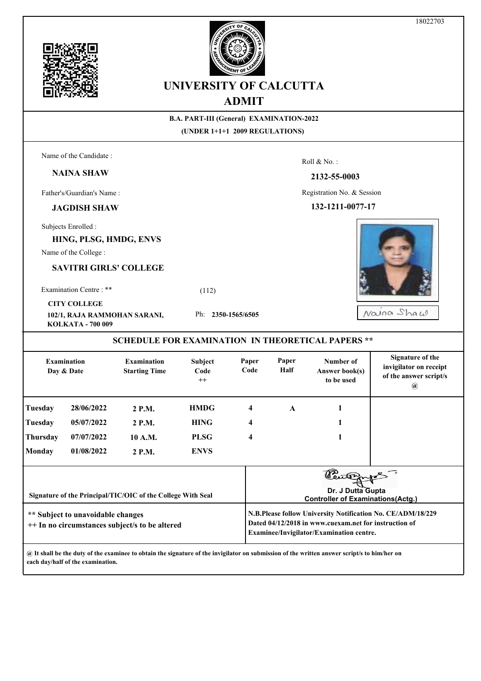





|                                                                                                                                                                                                                                                         |                                                                                                                              |                                            |                            | лілі і           |                            |                                                          |                                                                                            |  |  |  |
|---------------------------------------------------------------------------------------------------------------------------------------------------------------------------------------------------------------------------------------------------------|------------------------------------------------------------------------------------------------------------------------------|--------------------------------------------|----------------------------|------------------|----------------------------|----------------------------------------------------------|--------------------------------------------------------------------------------------------|--|--|--|
| <b>B.A. PART-III (General) EXAMINATION-2022</b><br>(UNDER 1+1+1 2009 REGULATIONS)                                                                                                                                                                       |                                                                                                                              |                                            |                            |                  |                            |                                                          |                                                                                            |  |  |  |
|                                                                                                                                                                                                                                                         |                                                                                                                              |                                            |                            |                  |                            |                                                          |                                                                                            |  |  |  |
|                                                                                                                                                                                                                                                         | Name of the Candidate:                                                                                                       |                                            |                            |                  |                            | Roll & No.:                                              |                                                                                            |  |  |  |
|                                                                                                                                                                                                                                                         | <b>NAINA SHAW</b>                                                                                                            |                                            |                            |                  |                            | 2132-55-0003                                             |                                                                                            |  |  |  |
| Father's/Guardian's Name:                                                                                                                                                                                                                               |                                                                                                                              |                                            |                            |                  | Registration No. & Session |                                                          |                                                                                            |  |  |  |
|                                                                                                                                                                                                                                                         | <b>JAGDISH SHAW</b>                                                                                                          |                                            |                            | 132-1211-0077-17 |                            |                                                          |                                                                                            |  |  |  |
|                                                                                                                                                                                                                                                         | Subjects Enrolled :                                                                                                          |                                            |                            |                  |                            |                                                          |                                                                                            |  |  |  |
|                                                                                                                                                                                                                                                         | HING, PLSG, HMDG, ENVS                                                                                                       |                                            |                            |                  |                            |                                                          |                                                                                            |  |  |  |
|                                                                                                                                                                                                                                                         | Name of the College :                                                                                                        |                                            |                            |                  |                            |                                                          |                                                                                            |  |  |  |
|                                                                                                                                                                                                                                                         |                                                                                                                              | <b>SAVITRI GIRLS' COLLEGE</b>              |                            |                  |                            |                                                          |                                                                                            |  |  |  |
|                                                                                                                                                                                                                                                         | Examination Centre: **                                                                                                       |                                            | (112)                      |                  |                            |                                                          |                                                                                            |  |  |  |
|                                                                                                                                                                                                                                                         | <b>CITY COLLEGE</b>                                                                                                          |                                            |                            |                  |                            |                                                          |                                                                                            |  |  |  |
| 102/1, RAJA RAMMOHAN SARANI,<br>KOLKATA - 700 009                                                                                                                                                                                                       |                                                                                                                              |                                            | Ph: 2350-1565/6505         |                  |                            |                                                          | Najna Shaw                                                                                 |  |  |  |
|                                                                                                                                                                                                                                                         |                                                                                                                              |                                            |                            |                  |                            | <b>SCHEDULE FOR EXAMINATION IN THEORETICAL PAPERS **</b> |                                                                                            |  |  |  |
| <b>Examination</b><br>Day & Date                                                                                                                                                                                                                        |                                                                                                                              | <b>Examination</b><br><b>Starting Time</b> | Subject<br>Code<br>$^{++}$ | Paper<br>Code    | Paper<br>Half              | Number of<br>Answer book(s)<br>to be used                | <b>Signature of the</b><br>invigilator on receipt<br>of the answer script/s<br>$\circledR$ |  |  |  |
| <b>Tuesday</b>                                                                                                                                                                                                                                          | 28/06/2022                                                                                                                   | 2 P.M.                                     | <b>HMDG</b>                | 4                | $\mathbf{A}$               | 1                                                        |                                                                                            |  |  |  |
| <b>Tuesday</b>                                                                                                                                                                                                                                          | 05/07/2022                                                                                                                   | 2 P.M.                                     | <b>HING</b>                | 4                |                            | 1                                                        |                                                                                            |  |  |  |
| <b>Thursday</b>                                                                                                                                                                                                                                         | 07/07/2022                                                                                                                   | 10 A.M.                                    | <b>PLSG</b>                | 4                |                            | 1                                                        |                                                                                            |  |  |  |
| <b>Monday</b>                                                                                                                                                                                                                                           | 01/08/2022                                                                                                                   | 2 P.M.                                     | <b>ENVS</b>                |                  |                            |                                                          |                                                                                            |  |  |  |
|                                                                                                                                                                                                                                                         | Dr. J Dutta Gupta<br>Signature of the Principal/TIC/OIC of the College With Seal<br><b>Controller of Examinations(Actg.)</b> |                                            |                            |                  |                            |                                                          |                                                                                            |  |  |  |
| N.B.Please follow University Notification No. CE/ADM/18/229<br>** Subject to unavoidable changes<br>Dated 04/12/2018 in www.cuexam.net for instruction of<br>++ In no circumstances subject/s to be altered<br>Examinee/Invigilator/Examination centre. |                                                                                                                              |                                            |                            |                  |                            |                                                          |                                                                                            |  |  |  |
|                                                                                                                                                                                                                                                         |                                                                                                                              |                                            |                            |                  |                            |                                                          |                                                                                            |  |  |  |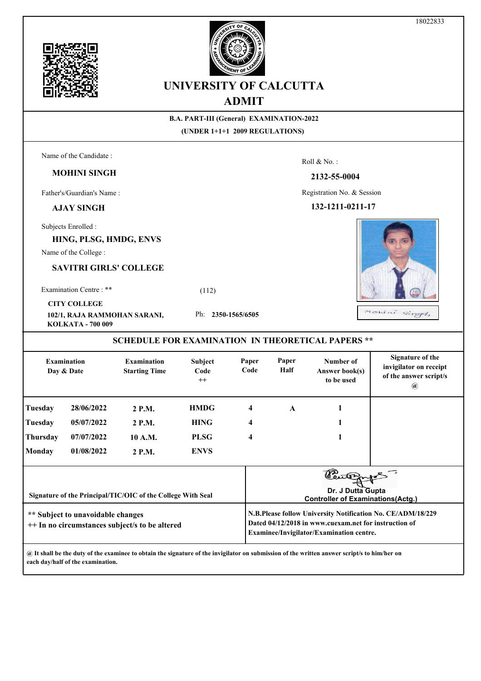

18022833





# **UNIVERSITY OF CALCUTTA ADMIT**

| 7 <b>ID 1711 1</b>                                                                                                           |                        |                                            |                            |               |                                                                                                                                                                  |                                                          |                                                                                            |  |  |  |
|------------------------------------------------------------------------------------------------------------------------------|------------------------|--------------------------------------------|----------------------------|---------------|------------------------------------------------------------------------------------------------------------------------------------------------------------------|----------------------------------------------------------|--------------------------------------------------------------------------------------------|--|--|--|
| <b>B.A. PART-III (General) EXAMINATION-2022</b>                                                                              |                        |                                            |                            |               |                                                                                                                                                                  |                                                          |                                                                                            |  |  |  |
| (UNDER 1+1+1 2009 REGULATIONS)                                                                                               |                        |                                            |                            |               |                                                                                                                                                                  |                                                          |                                                                                            |  |  |  |
|                                                                                                                              | Name of the Candidate: |                                            |                            |               |                                                                                                                                                                  | Roll & No.:                                              |                                                                                            |  |  |  |
|                                                                                                                              | <b>MOHINI SINGH</b>    |                                            |                            |               |                                                                                                                                                                  |                                                          |                                                                                            |  |  |  |
|                                                                                                                              |                        |                                            |                            |               | 2132-55-0004                                                                                                                                                     |                                                          |                                                                                            |  |  |  |
| Father's/Guardian's Name:                                                                                                    |                        |                                            |                            |               | Registration No. & Session                                                                                                                                       |                                                          |                                                                                            |  |  |  |
| 132-1211-0211-17<br><b>AJAY SINGH</b>                                                                                        |                        |                                            |                            |               |                                                                                                                                                                  |                                                          |                                                                                            |  |  |  |
|                                                                                                                              | Subjects Enrolled :    |                                            |                            |               |                                                                                                                                                                  |                                                          |                                                                                            |  |  |  |
|                                                                                                                              | HING, PLSG, HMDG, ENVS |                                            |                            |               |                                                                                                                                                                  |                                                          |                                                                                            |  |  |  |
|                                                                                                                              | Name of the College:   |                                            |                            |               |                                                                                                                                                                  |                                                          |                                                                                            |  |  |  |
| <b>SAVITRI GIRLS' COLLEGE</b>                                                                                                |                        |                                            |                            |               |                                                                                                                                                                  |                                                          |                                                                                            |  |  |  |
| Examination Centre: **                                                                                                       |                        |                                            | (112)                      |               |                                                                                                                                                                  |                                                          |                                                                                            |  |  |  |
| <b>CITY COLLEGE</b>                                                                                                          |                        |                                            |                            |               |                                                                                                                                                                  |                                                          |                                                                                            |  |  |  |
| Ph: 2350-1565/6505<br>102/1, RAJA RAMMOHAN SARANI,<br>KOLKATA - 700 009                                                      |                        |                                            |                            |               | Monini singh                                                                                                                                                     |                                                          |                                                                                            |  |  |  |
|                                                                                                                              |                        |                                            |                            |               |                                                                                                                                                                  | <b>SCHEDULE FOR EXAMINATION IN THEORETICAL PAPERS **</b> |                                                                                            |  |  |  |
| <b>Examination</b><br>Day & Date                                                                                             |                        | <b>Examination</b><br><b>Starting Time</b> | Subject<br>Code<br>$^{++}$ | Paper<br>Code | Paper<br>Half                                                                                                                                                    | Number of<br>Answer book(s)<br>to be used                | <b>Signature of the</b><br>invigilator on receipt<br>of the answer script/s<br>$\circledR$ |  |  |  |
| Tuesday                                                                                                                      | 28/06/2022             | 2 P.M.                                     | <b>HMDG</b>                | 4             | $\mathbf{A}$                                                                                                                                                     | 1                                                        |                                                                                            |  |  |  |
| <b>Tuesday</b>                                                                                                               | 05/07/2022             | 2 P.M.                                     | <b>HING</b>                | 4             |                                                                                                                                                                  | 1                                                        |                                                                                            |  |  |  |
| Thursday                                                                                                                     | 07/07/2022             | 10 A.M.                                    | <b>PLSG</b>                | 4             |                                                                                                                                                                  | 1                                                        |                                                                                            |  |  |  |
| Monday                                                                                                                       | 01/08/2022             | 2 P.M.                                     | <b>ENVS</b>                |               |                                                                                                                                                                  |                                                          |                                                                                            |  |  |  |
| Dr. J Dutta Gupta<br>Signature of the Principal/TIC/OIC of the College With Seal<br><b>Controller of Examinations(Actg.)</b> |                        |                                            |                            |               |                                                                                                                                                                  |                                                          |                                                                                            |  |  |  |
| ** Subject to unavoidable changes<br>++ In no circumstances subject/s to be altered                                          |                        |                                            |                            |               | N.B.Please follow University Notification No. CE/ADM/18/229<br>Dated 04/12/2018 in www.cuexam.net for instruction of<br>Examinee/Invigilator/Examination centre. |                                                          |                                                                                            |  |  |  |
|                                                                                                                              |                        |                                            |                            |               |                                                                                                                                                                  |                                                          |                                                                                            |  |  |  |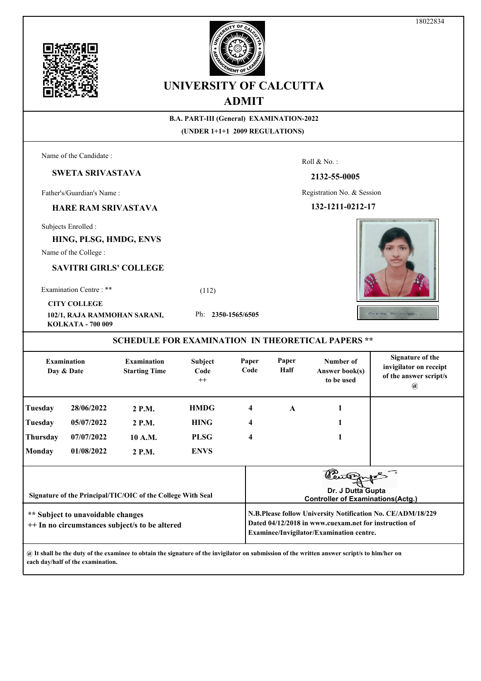

|                                                                                                |                                                                        |                                                             |                                                                                   | ADMI'I                                                                                                                                                           |                  |                                                                          |                                                                                              |  |  |  |
|------------------------------------------------------------------------------------------------|------------------------------------------------------------------------|-------------------------------------------------------------|-----------------------------------------------------------------------------------|------------------------------------------------------------------------------------------------------------------------------------------------------------------|------------------|--------------------------------------------------------------------------|----------------------------------------------------------------------------------------------|--|--|--|
|                                                                                                |                                                                        |                                                             | <b>B.A. PART-III (General) EXAMINATION-2022</b><br>(UNDER 1+1+1 2009 REGULATIONS) |                                                                                                                                                                  |                  |                                                                          |                                                                                              |  |  |  |
|                                                                                                | Name of the Candidate:                                                 |                                                             |                                                                                   |                                                                                                                                                                  |                  | Roll & No.:                                                              |                                                                                              |  |  |  |
|                                                                                                | <b>SWETA SRIVASTAVA</b>                                                |                                                             |                                                                                   |                                                                                                                                                                  |                  | 2132-55-0005                                                             |                                                                                              |  |  |  |
|                                                                                                | Father's/Guardian's Name:                                              |                                                             |                                                                                   |                                                                                                                                                                  |                  | Registration No. & Session                                               |                                                                                              |  |  |  |
| <b>HARE RAM SRIVASTAVA</b>                                                                     |                                                                        |                                                             |                                                                                   |                                                                                                                                                                  | 132-1211-0212-17 |                                                                          |                                                                                              |  |  |  |
|                                                                                                | Subjects Enrolled :<br>HING, PLSG, HMDG, ENVS<br>Name of the College : |                                                             |                                                                                   |                                                                                                                                                                  |                  |                                                                          |                                                                                              |  |  |  |
|                                                                                                | <b>SAVITRI GIRLS' COLLEGE</b>                                          |                                                             |                                                                                   |                                                                                                                                                                  |                  |                                                                          |                                                                                              |  |  |  |
|                                                                                                | Examination Centre: **                                                 | (112)                                                       |                                                                                   |                                                                                                                                                                  |                  |                                                                          |                                                                                              |  |  |  |
| <b>CITY COLLEGE</b><br>Ph: 2350-1565/6505<br>102/1, RAJA RAMMOHAN SARANI,<br>KOLKATA - 700 009 |                                                                        |                                                             |                                                                                   |                                                                                                                                                                  |                  | Suleta Structura                                                         |                                                                                              |  |  |  |
|                                                                                                |                                                                        |                                                             |                                                                                   |                                                                                                                                                                  |                  | <b>SCHEDULE FOR EXAMINATION IN THEORETICAL PAPERS **</b>                 |                                                                                              |  |  |  |
| <b>Examination</b><br><b>Examination</b><br>Day & Date<br><b>Starting Time</b>                 |                                                                        |                                                             | Subject<br>Code<br>$^{++}$                                                        | Paper<br>Code                                                                                                                                                    | Paper<br>Half    | Number of<br>Answer book(s)<br>to be used                                | <b>Signature of the</b><br>invigilator on receipt<br>of the answer script/s<br>$^a\!\!\!\!a$ |  |  |  |
| Tuesday                                                                                        | 28/06/2022                                                             | 2 P.M.                                                      | <b>HMDG</b>                                                                       | 4                                                                                                                                                                | $\mathbf{A}$     | 1                                                                        |                                                                                              |  |  |  |
| Tuesday                                                                                        | 05/07/2022                                                             | 2 P.M.                                                      | <b>HING</b>                                                                       | 4                                                                                                                                                                |                  | 1                                                                        |                                                                                              |  |  |  |
| Thursday                                                                                       | 07/07/2022                                                             | 10 A.M.                                                     | <b>PLSG</b>                                                                       | 4                                                                                                                                                                |                  | 1                                                                        |                                                                                              |  |  |  |
| <b>Monday</b>                                                                                  | 01/08/2022                                                             | 2 P.M.                                                      | <b>ENVS</b>                                                                       |                                                                                                                                                                  |                  |                                                                          |                                                                                              |  |  |  |
|                                                                                                |                                                                        | Signature of the Principal/TIC/OIC of the College With Seal |                                                                                   |                                                                                                                                                                  |                  | Cutions<br>Dr. J Dutta Gupta<br><b>Controller of Examinations(Actg.)</b> |                                                                                              |  |  |  |
| ** Subject to unavoidable changes<br>++ In no circumstances subject/s to be altered            |                                                                        |                                                             |                                                                                   | N.B.Please follow University Notification No. CE/ADM/18/229<br>Dated 04/12/2018 in www.cuexam.net for instruction of<br>Examinee/Invigilator/Examination centre. |                  |                                                                          |                                                                                              |  |  |  |





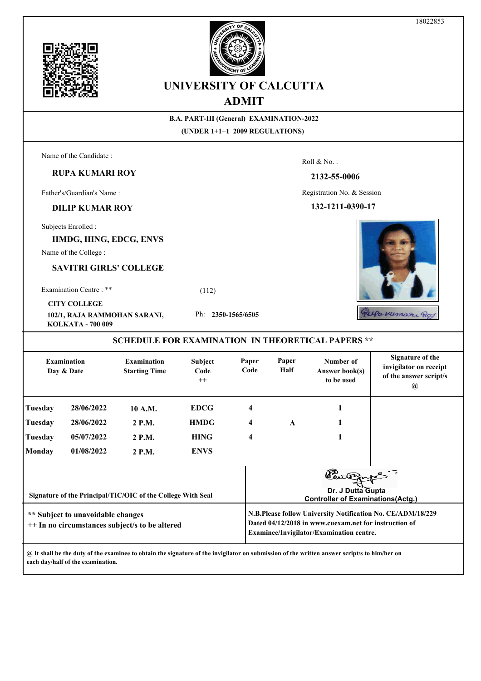



#### **B.A. PART-III (General) EXAMINATION-2022 (UNDER 1+1+1 2009 REGULATIONS)** Name of the Candidate : Roll & No. : **RUPA KUMARI ROY 2132-55-0006** Father's/Guardian's Name : Registration No. & Session **DILIP KUMAR ROY 132-1211-0390-17** Subjects Enrolled : **HMDG, HING, EDCG, ENVS** Name of the College : **SAVITRI GIRLS' COLLEGE** Examination Centre : \*\* (112) **CITY COLLEGE** Rufa Kumari Roy **102/1, RAJA RAMMOHAN SARANI,**  Ph: **2350-1565/6505 KOLKATA - 700 009 SCHEDULE FOR EXAMINATION IN THEORETICAL PAPERS \*\* Signature of the Examination Examination Subject Paper Paper Number of invigilator on receipt Day & Date Starting Time Code Code Half Answer book(s) of the answer script/s to be used ++ @ Tuesday 28/06/2022 10 A.M. EDCG 4 1 Tuesday 28/06/2022 2 P.M. HMDG 4 A 1 Tuesday 05/07/2022 2 P.M. HING 4 1 Monday 01/08/2022 2 P.M. ENVS Dr. J Dutta Gupta Signature of the Principal/TIC/OIC of the College With Seal Controller of Examinations(Actg.)N.B.Please follow University Notification No. CE/ADM/18/229 \*\* Subject to unavoidable changes Dated 04/12/2018 in www.cuexam.net for instruction of ++ In no circumstances subject/s to be altered Examinee/Invigilator/Examination centre.**